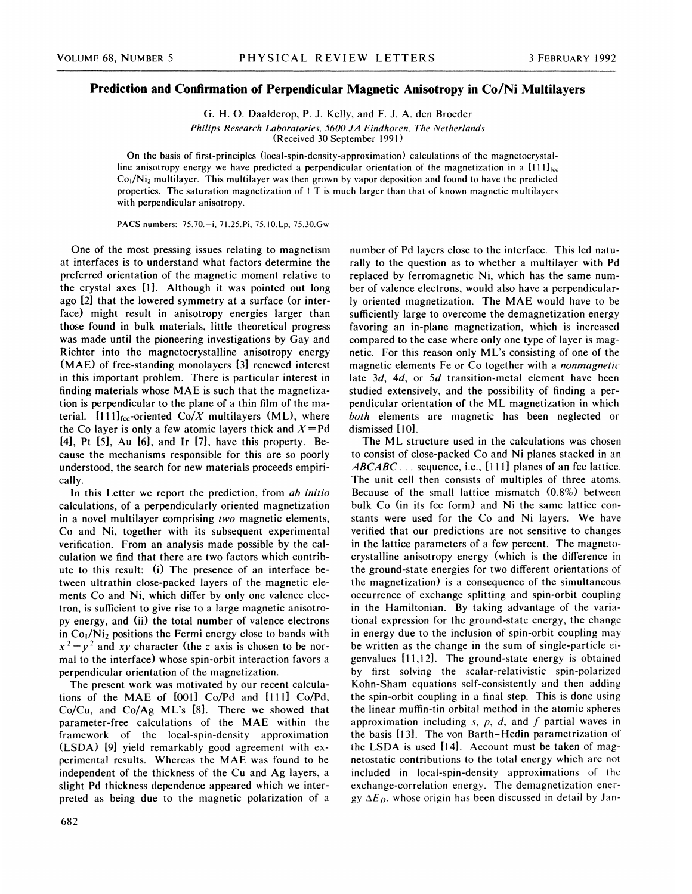## Prediction and Confirmation of Perpendicular Magnetic Anisotropy in Co/Ni Multilayers

G. H. O. Daalderop, P. 3. Kelly, and F. 3. A. den Broeder

Philips Research Laboratories, 5600 JA Eindhoven, The Netherlands (Received 30 September l99l )

On the basis of first-principles (local-spin-density-approximation) calculations of the magnetocrystalline anisotropy energy we have predicted a perpendicular orientation of the magnetization in a  $[111]_{\text{fcc}}$  $Co<sub>1</sub>/Ni<sub>2</sub>$  multilayer. This multilayer was then grown by vapor deposition and found to have the predicted properties. The saturation magnetization of <sup>l</sup> T is much larger than that of known magnetic multilayers with perpendicular anisotropy.

PACS numbers: 75.70.—i, 71.25.Pi, 75.10.Lp, 75.30.Gw

One of the most pressing issues relating to magnetism at interfaces is to understand what factors determine the preferred orientation of the magnetic moment relative to the crystal axes [1]. Although it was pointed out long ago [2] that the lowered symmetry at a surface (or interface) might result in anisotropy energies larger than those found in bulk materials, little theoretical progress was made until the pioneering investigations by Gay and Richter into the magnetocrystalline anisotropy energy (MAE) of free-standing monolayers [3] renewed interest in this important problem. There is particular interest in finding materials whose MAE is such that the magnetization is perpendicular to the plane of a thin film of the material.  $[111]_{\text{fcc}}$ -oriented Co/X multilayers (ML), where the Co layer is only a few atomic layers thick and  $X=$ Pd [4), Pt [5], Au [6], and lr [7], have this property. Because the mechanisms responsible for this are so poorly understood, the search for new materials proceeds empirically.

In this Letter we report the prediction, from ab initio calculations, of a perpendicularly oriented magnetization in a novel multilayer comprising two magnetic elements, Co and Ni, together with its subsequent experimental verification. From an analysis made possible by the calculation we find that there are two factors which contribute to this result: (i) The presence of an interface between ultrathin close-packed layers of the magnetic elements Co and Ni, which differ by only one valence electron, is sufficient to give rise to a large magnetic anisotropy energy, and (ii) the total number of valence electrons in  $Co<sub>1</sub>/Ni<sub>2</sub>$  positions the Fermi energy close to bands with  $x^{2}-y^{2}$  and xy character (the z axis is chosen to be normal to the interface) whose spin-orbit interaction favors a perpendicular orientation of the magnetization.

The present work was motivated by our recent calculations of the MAE of [001] Co/Pd and [111] Co/Pd, Co/Cu, and Co/Ag ML's [8]. There we showed that parameter-free calculations of the MAE within the framework of the local-spin-density approximation (LSDA) [9] yield remarkably good agreement with experimental results. Whereas the MAE was found to be independent of the thickness of the Cu and Ag layers, a slight Pd thickness dependence appeared which we interpreted as being due to the magnetic polarization of a

number of Pd layers close to the interface. This led naturally to the question as to whether a multilayer with Pd replaced by ferromagnetic Ni, which has the same number of valence electrons, would also have a perpendicularly oriented magnetization. The MAE would have to be sufficiently large to overcome the demagnetization energy favoring an in-plane magnetization, which is increased compared to the case where only one type of layer is magnetic. For this reason only ML's consisting of one of the magnetic elements Fe or Co together with a nonmagnetic late  $3d$ ,  $4d$ , or  $5d$  transition-metal element have been studied extensively, and the possibility of finding a perpendicular orientation of the ML magnetization in which both elements are magnetic has been neglected or dismissed [10].

The ML structure used in the calculations was chosen to consist of close-packed Co and Ni planes stacked in an  $ABCABC...$  sequence, i.e., [111] planes of an fcc lattice. The unit cell then consists of multiples of three atoms. Because of the small lattice mismatch (0.8%) between bulk Co (in its fcc form) and Ni the same lattice constants were used for the Co and Ni layers. We have verified that our predictions are not sensitive to changes in the lattice parameters of a few percent. The magnetocrystalline anisotropy energy (which is the difference in the ground-state energies for two different orientations of the magnetization) is a consequence of the simultaneous occurrence of exchange splitting and spin-orbit coupling in the Hamiltonian. By taking advantage of the variational expression for the ground-state energy, the change in energy due to the inclusion of spin-orbit coupling may be written as the change in the sum of single-particle eigenvalues [11,121. The ground-state energy is obtained by first solving the scalar-relativistic spin-polarized Kohn-Sham equations self-consistently and then adding the spin-orbit coupling in a final step. This is done using the linear muffin-tin orbital method in the atomic spheres approximation including  $s$ ,  $p$ ,  $d$ , and  $f$  partial waves in the basis [13]. The von Barth-Hedin parametrization of the LSDA is used [14]. Account must be taken of magnetostatic contributions to the total energy which are not included in local-spin-density approximations of the exchange-correlation energy. The demagnetization energy  $\Delta E<sub>p</sub>$ , whose origin has been discussed in detail by Jan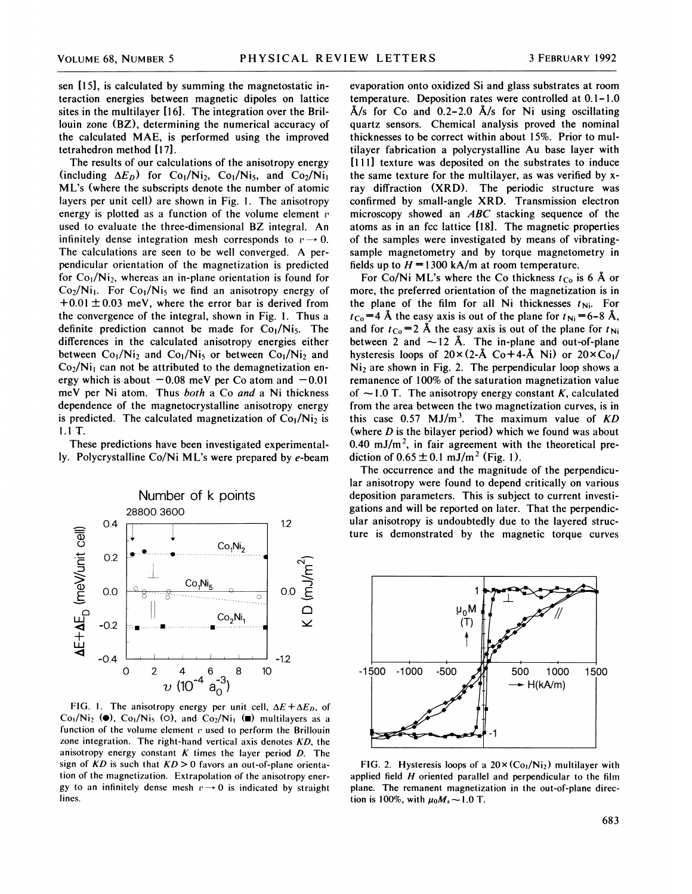sen [15], is calculated by summing the magnetostatic interaction energies between magnetic dipoles on lattice sites in the multilayer [16]. The integration over the Brillouin zone (BZ), determining the numerical accuracy of the calculated MAE, is performed using the improved tetrahedron method [17].

The results of our calculations of the anisotropy energy (including  $\Delta E_D$ ) for Co<sub>1</sub>/Ni<sub>2</sub>, Co<sub>1</sub>/Ni<sub>5</sub>, and Co<sub>2</sub>/Ni<sub>1</sub> ML's (where the subscripts denote the number of atomic layers per unit cell) are shown in Fig. 1. The anisotropy energy is plotted as a function of the volume element  $v$ used to evaluate the three-dimensional BZ integral. An infinitely dense integration mesh corresponds to  $v \rightarrow 0$ . The calculations are seen to be well converged. A perpendicular orientation of the magnetization is predicted for  $Co<sub>1</sub>/Ni<sub>2</sub>$ , whereas an in-plane orientation is found for  $Co_2/Ni_1$ . For  $Co_1/Ni_5$  we find an anisotropy energy of  $+0.01 \pm 0.03$  meV, where the error bar is derived from the convergence of the integral, shown in Fig. 1. Thus a definite prediction cannot be made for  $Co<sub>1</sub>/Ni<sub>5</sub>$ . The differences in the calculated anisotropy energies either between  $Co_1/Ni_2$  and  $Co_1/Ni_5$  or between  $Co_1/Ni_2$  and  $Co<sub>2</sub>/Ni<sub>1</sub>$  can not be attributed to the demagnetization energy which is about  $-0.08$  meV per Co atom and  $-0.01$ meV per Ni atom. Thus both a Co and a Ni thickness dependence of the magnetocrystalline anisotropy energy is predicted. The calculated magnetization of  $Co<sub>1</sub>/Ni<sub>2</sub>$  is 1.<sup>1</sup> T.

These predictions have been investigated experimentally. Polycrystalline Co/Ni ML's were prepared by e-beam



FIG. 1. The anisotropy energy per unit cell,  $\Delta E + \Delta E_D$ , of  $Co<sub>1</sub>/Ni<sub>2</sub>$  ( $\bullet$ ),  $Co<sub>1</sub>/Ni<sub>5</sub>$  ( $\circ$ ), and  $Co<sub>2</sub>/Ni<sub>1</sub>$  ( $\bullet$ ) multilayers as a function of the volume element  $v$  used to perform the Brillouin zone integration. The right-hand vertical axis denotes  $KD$ , the anisotropy energy constant  $K$  times the layer period  $D$ . The sign of  $KD$  is such that  $KD > 0$  favors an out-of-plane orientation of the magnetization. Extrapolation of the anisotropy energy to an infinitely dense mesh  $v \rightarrow 0$  is indicated by straight lines.

evaporation onto oxidized Si and glass substrates at room temperature. Deposition rates were controlled at 0.1-1.0  $\AA$ /s for Co and 0.2-2.0  $\AA$ /s for Ni using oscillating quartz sensors. Chemical analysis proved the nominal thicknesses to be correct within about 15%. Prior to multilayer fabrication a polycrystalline Au base layer with [111] texture was deposited on the substrates to induce the same texture for the multilayer, as was verified by xray diffraction (XRD). The periodic structure was confirmed by small-angle XRD. Transmission electron microscopy showed an ABC stacking sequence of the atoms as in an fcc lattice [18]. The magnetic properties of the samples were investigated by means of vibratingsample magnetometry and by torque magnetometry in fields up to  $H = 1300$  kA/m at room temperature.

For Co/Ni ML's where the Co thickness  $t_{Co}$  is 6 Å or more, the preferred orientation of the magnetization is in the plane of the film for all Ni thicknesses  $t_{\text{Ni}}$ . For  $t_{\text{Co}} = 4$  Å the easy axis is out of the plane for  $t_{\text{Ni}} = 6-8$  Å, and for  $t_{\text{Co}} = 2$  Å the easy axis is out of the plane for  $t_{\text{Ni}}$ between 2 and  $\sim$  12 Å. The in-plane and out-of-plane hysteresis loops of  $20\times(2-A \text{ Co}+4-A \text{ Ni})$  or  $20\times \text{Co}$ /  $Ni<sub>2</sub>$  are shown in Fig. 2. The perpendicular loop shows a remanence of 100% of the saturation magnetization value of  $\sim$  1.0 T. The anisotropy energy constant K, calculated from the area between the two magnetization curves, is in this case  $0.57 \text{ MJ/m}^3$ . The maximum value of KD (where  $D$  is the bilayer period) which we found was about 0.40 mJ/m<sup>2</sup>, in fair agreement with the theoretical prediction of  $0.65 \pm 0.1$  mJ/m<sup>2</sup> (Fig. 1).

The occurrence and the magnitude of the perpendicular anisotropy were found to depend critically on various deposition parameters. This is subject to current investigations and will be reported on later. That the perpendicular anisotropy is undoubtedly due to the layered structure is demonstrated by the magnetic torque curves



FIG. 2. Hysteresis loops of a  $20 \times (C_{01}/Ni_2)$  multilayer with applied field  $H$  oriented parallel and perpendicular to the film plane. The remanent magnetization in the out-of-plane direction is 100%, with  $\mu_0 M_s \sim 1.0$  T.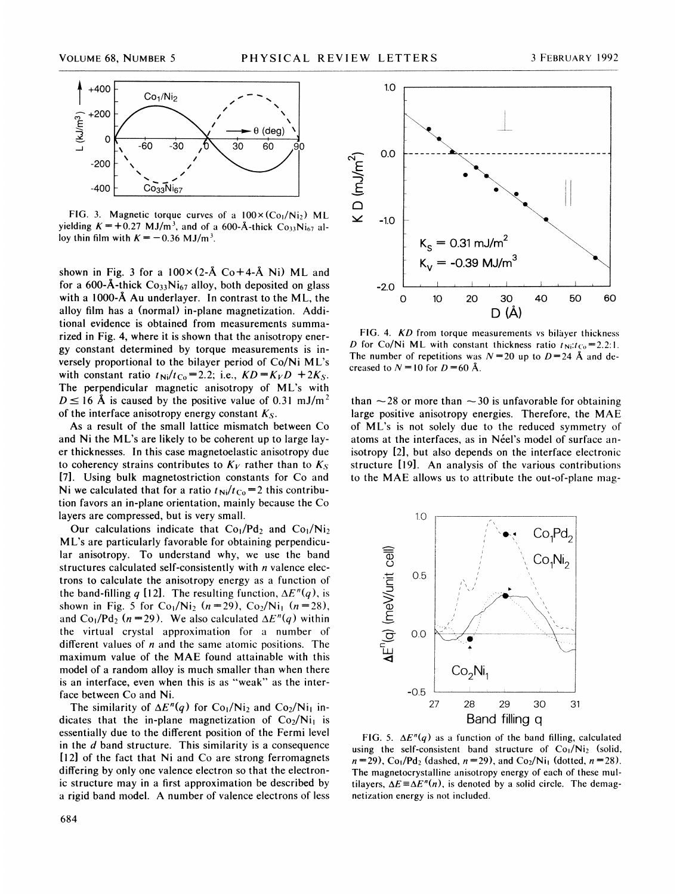

FIG. 3. Magnetic torque curves of a  $100 \times (C_{01}/N_1)$  ML yielding  $K = +0.27$  MJ/m<sup>3</sup>, and of a 600-Å-thick Co<sub>33</sub>Ni<sub>67</sub> alloy thin film with  $K = -0.36$  MJ/m<sup>3</sup>.

shown in Fig. 3 for a  $100 \times (2-\text{\AA Co} + 4-\text{\AA Ni})$  ML and for a 600-Å-thick  $Co<sub>33</sub>Ni<sub>67</sub>$  alloy, both deposited on glass with a 1000-Å Au underlayer. In contrast to the ML, the alloy film has a (normal) in-plane magnetization. Additional evidence is obtained from measurements summarized in Fig. 4, where it is shown that the anisotropy energy constant determined by torque measurements is inversely proportional to the bilayer period of Co/Ni ML's with constant ratio  $t_{\text{Ni}}/t_{\text{Co}} = 2.2$ ; i.e.,  $KD = K_V D + 2K_S$ . The perpendicular magnetic anisotropy of ML's with  $D \le 16$  Å is caused by the positive value of 0.31 mJ/m<sup>2</sup> of the interface anisotropy energy constant  $K<sub>S</sub>$ .

As a result of the small lattice mismatch between Co and Ni the ML's are likely to be coherent up to large layer thicknesses. In this case magnetoelastic anisotropy due to coherency strains contributes to  $K_V$  rather than to  $K_S$ [7]. Using bulk magnetostriction constants for Co and Ni we calculated that for a ratio  $t_{\text{Ni}}/t_{\text{Co}} = 2$  this contribution favors an in-plane orientation, mainly because the Co layers are compressed, but is very small.

Our calculations indicate that  $Co<sub>1</sub>/Nd<sub>2</sub>$  and  $Co<sub>1</sub>/Ni<sub>2</sub>$ ML's are particularly favorable for obtaining perpendicular anisotropy. To understand why, we use the band structures calculated self-consistently with *n* valence electrons to calculate the anisotropy energy as a function of the band-filling q [12]. The resulting function,  $\Delta E''(q)$ , is shown in Fig. 5 for  $Co_1/Ni_2$  (n = 29),  $Co_2/Ni_1$  (n = 28), and Co<sub>1</sub>/Pd<sub>2</sub> (n = 29). We also calculated  $\Delta E''(q)$  within the virtual crystal approximation for a number of different values of  $n$  and the same atomic positions. The maximum value of the MAE found attainable with this model of a random alloy is much smaller than when there is an interface, even when this is as "weak" as the interface between Co and Ni.

The similarity of  $\Delta E''(q)$  for Co<sub>1</sub>/Ni<sub>2</sub> and Co<sub>2</sub>/Ni<sub>1</sub> indicates that the in-plane magnetization of  $Co_2/Ni_1$  is essentially due to the different position of the Fermi level in the  $d$  band structure. This similarity is a consequence [12] of the fact that Ni and Co are strong ferromagnets differing by only one valence electron so that the electronic structure may in a first approximation be described by a rigid band model. A number of valence electrons of less





FIG. 4. KD from torque measurements vs bilayer thickness D for Co/Ni ML with constant thickness ratio  $t_{\text{Ni}}; t_{\text{Co}} = 2.2$ :1. The number of repetitions was  $N = 20$  up to  $D = 24$  Å and decreased to  $N = 10$  for  $D = 60$  Å.

than  $\sim$  28 or more than  $\sim$  30 is unfavorable for obtaining large positive anisotropy energies. Therefore, the MAE of ML's is not solely due to the reduced symmetry of atoms at the interfaces, as in Néel's model of surface anisotropy [2], but also depends on the interface electronic structure [19]. An analysis of the various contributions to the MAE allows us to attribute the out-of-plane mag-



FIG. 5.  $\Delta E''(q)$  as a function of the band filling, calculated using the self-consistent band structure of  $Co<sub>1</sub>/Ni<sub>2</sub>$  (solid,  $n = 29$ , Co<sub>1</sub>/Pd<sub>2</sub> (dashed,  $n = 29$ ), and Co<sub>2</sub>/Ni<sub>1</sub> (dotted,  $n = 28$ ). The magnetocrystalline anisotropy energy of each of these multilayers,  $\Delta E \equiv \Delta E''(n)$ , is denoted by a solid circle. The demagnetization energy is not included.